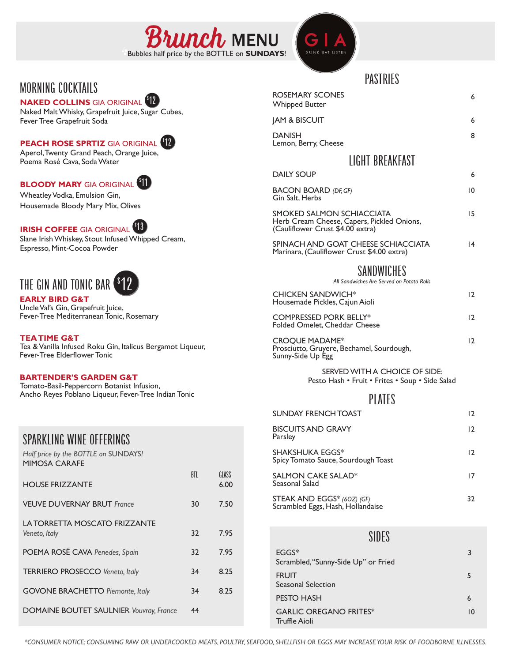



## MUKNING LULKIAIL)<br><mark>NAKED COLLINS</mark> GIA ORIGINAL <sup>612</sup> \$

## **PEACH ROSE SPRTIZ** GIA ORIGINAL 12 \$



# **IRISH COFFEE** GIA ORIGINAL 13 \$

# THE GIN AND TONIC BAR<sup>\$</sup> 12

### **EARLY BIRD G&T**

## **BARTENDER'S GARDEN G&T**

| <b>SPARKLING WINE OFFERINGS</b> |  |
|---------------------------------|--|

| ם ורעורש רעטשו ווו<br><b>HOUSE FRIZZANTE</b>   | BTL | GLASS<br>6.00 |
|------------------------------------------------|-----|---------------|
| <b>VEUVE DUVERNAY BRUT France</b>              | 30  | 7.50          |
| LA TORRETTA MOSCATO FRIZZANTE<br>Veneto, Italy | 32  | 7.95          |
| POEMA ROSÉ CAVA Penedes, Spain                 | 32  | 7.95          |
| <b>TERRIERO PROSECCO Veneto, Italy</b>         | 34  | 8.25          |
| <b>GOVONE BRACHETTO Piemonte, Italy</b>        | 34  | 8.25          |
| <b>DOMAINE BOUTET SAULNIER Vouvray, France</b> | 44  |               |

|                                                                                                                      |     |               | PASTRIES                                 |                                                                                                             |                 |  |  |  |  |
|----------------------------------------------------------------------------------------------------------------------|-----|---------------|------------------------------------------|-------------------------------------------------------------------------------------------------------------|-----------------|--|--|--|--|
| MORNING COCKTAILS<br><b>NAKED COLLINS</b> GIA ORIGINAL <b>VI</b>                                                     |     |               | ROSEMARY SCONES<br><b>Whipped Butter</b> |                                                                                                             |                 |  |  |  |  |
| Naked Malt Whisky, Grapefruit Juice, Sugar Cubes,<br>Fever Tree Grapefruit Soda                                      |     |               |                                          | <b>JAM &amp; BISCUIT</b>                                                                                    |                 |  |  |  |  |
| <b>PEACH ROSE SPRTIZ</b> GIA ORIGINAL <sup>612</sup>                                                                 |     |               |                                          | <b>DANISH</b><br>Lemon, Berry, Cheese                                                                       | 8               |  |  |  |  |
| Aperol, Twenty Grand Peach, Orange Juice,<br>Poema Rosé Cava, Soda Water                                             |     |               |                                          | LIGHT BREAKFAST                                                                                             |                 |  |  |  |  |
|                                                                                                                      |     |               |                                          | <b>DAILY SOUP</b>                                                                                           | 6               |  |  |  |  |
| <b>BLOODY MARY</b> GIA ORIGINAL <b>WID</b><br>Wheatley Vodka, Emulsion Gin,                                          |     |               |                                          | <b>BACON BOARD (DF, GF)</b><br>Gin Salt, Herbs                                                              | $\overline{10}$ |  |  |  |  |
| Housemade Bloody Mary Mix, Olives<br><b>IRISH COFFEE</b> GIA ORIGINAL <sup>413</sup>                                 |     |               |                                          | SMOKED SALMON SCHIACCIATA<br>Herb Cream Cheese, Capers, Pickled Onions,<br>(Cauliflower Crust \$4.00 extra) | 15              |  |  |  |  |
| Slane Irish Whiskey, Stout Infused Whipped Cream,<br>Espresso, Mint-Cocoa Powder                                     |     |               |                                          | SPINACH AND GOAT CHEESE SCHIACCIATA<br> 4<br>Marinara, (Cauliflower Crust \$4.00 extra)                     |                 |  |  |  |  |
|                                                                                                                      |     |               |                                          | SANDWICHES                                                                                                  |                 |  |  |  |  |
| THE GIN AND TONIC BAR <sup>\$</sup> 12                                                                               |     |               |                                          | All Sandwiches Are Served on Potato Rolls                                                                   |                 |  |  |  |  |
| <b>EARLY BIRD G&amp;T</b><br>Uncle Val's Gin, Grapefruit Juice,                                                      |     |               |                                          | <b>CHICKEN SANDWICH*</b><br>Housemade Pickles, Cajun Aioli                                                  | 12              |  |  |  |  |
| Fever-Tree Mediterranean Tonic, Rosemary                                                                             |     |               |                                          | <b>COMPRESSED PORK BELLY*</b><br>Folded Omelet, Cheddar Cheese                                              | 12              |  |  |  |  |
| <b>TEATIME G&amp;T</b><br>Tea & Vanilla Infused Roku Gin, Italicus Bergamot Liqueur,<br>Fever-Tree Elderflower Tonic |     |               |                                          | <b>CROQUE MADAME*</b><br>Prosciutto, Gruyere, Bechamel, Sourdough,<br>Sunny-Side Up Egg                     | 12              |  |  |  |  |
| <b>BARTENDER'S GARDEN G&amp;T</b><br>Tomato-Basil-Peppercorn Botanist Infusion,                                      |     |               |                                          | SERVED WITH A CHOICE OF SIDE:<br>Pesto Hash • Fruit • Frites • Soup • Side Salad                            |                 |  |  |  |  |
| Ancho Reyes Poblano Liqueur, Fever-Tree Indian Tonic                                                                 |     |               | PLATES                                   |                                                                                                             |                 |  |  |  |  |
|                                                                                                                      |     |               |                                          | <b>SUNDAY FRENCH TOAST</b>                                                                                  | 12              |  |  |  |  |
| <b>SPARKLING WINE OFFERINGS</b>                                                                                      |     |               |                                          | <b>BISCUITS AND GRAVY</b><br>Parsley                                                                        | 12              |  |  |  |  |
| Half price by the BOTTLE on SUNDAYS!<br><b>MIMOSA CARAFE</b>                                                         |     |               |                                          | <b>SHAKSHUKA EGGS*</b><br>Spicy Tomato Sauce, Sourdough Toast                                               | 12              |  |  |  |  |
| <b>HOUSE FRIZZANTE</b>                                                                                               | BTL | GLASS<br>6.00 |                                          | SALMON CAKE SALAD*<br>Seasonal Salad                                                                        | 17              |  |  |  |  |
| <b>VEUVE DUVERNAY BRUT France</b>                                                                                    | 30  | 7.50          |                                          | STEAK AND EGGS* (60Z) (GF)<br>Scrambled Eggs, Hash, Hollandaise                                             | 32              |  |  |  |  |
| LA TORRETTA MOSCATO FRIZZANTE                                                                                        |     |               |                                          |                                                                                                             |                 |  |  |  |  |

SIDES

| $EGGS*$<br>Scrambled, "Sunny-Side Up" or Fried        | 3  |
|-------------------------------------------------------|----|
| <b>FRUIT</b><br>Seasonal Selection                    | 5  |
| <b>PESTO HASH</b>                                     | 6  |
| <b>GARLIC OREGANO FRITES*</b><br><b>Truffle Aioli</b> | 10 |